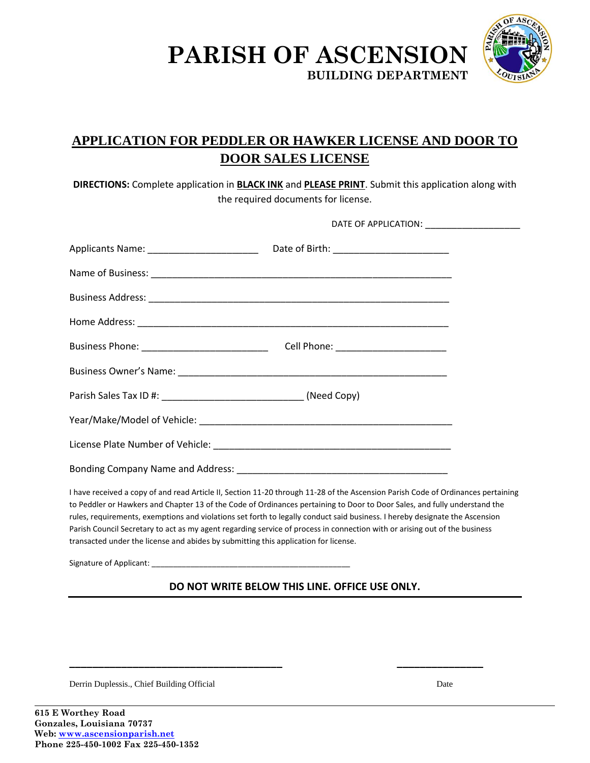



## **APPLICATION FOR PEDDLER OR HAWKER LICENSE AND DOOR TO DOOR SALES LICENSE**

**DIRECTIONS:** Complete application in **BLACK INK** and **PLEASE PRINT**. Submit this application along with the required documents for license.

| I have received a copy of and read Article II, Section 11-20 through 11-28 of the Ascension Parish Code of Ordinances pertaining                                                                                  |  |  |
|-------------------------------------------------------------------------------------------------------------------------------------------------------------------------------------------------------------------|--|--|
| to Peddler or Hawkers and Chapter 13 of the Code of Ordinances pertaining to Door to Door Sales, and fully understand the                                                                                         |  |  |
| rules, requirements, exemptions and violations set forth to legally conduct said business. I hereby designate the Ascension                                                                                       |  |  |
| Parish Council Secretary to act as my agent regarding service of process in connection with or arising out of the business<br>transacted under the license and abides by submitting this application for license. |  |  |
| Signature of Applicant:                                                                                                                                                                                           |  |  |

## **DO NOT WRITE BELOW THIS LINE. OFFICE USE ONLY.**

**\_\_\_\_\_\_\_\_\_\_\_\_\_\_\_\_\_\_\_\_\_\_\_\_\_\_\_\_\_\_\_\_\_\_\_\_\_ \_\_\_\_\_\_\_\_\_\_\_\_\_\_\_**

Derrin Duplessis., Chief Building Official Date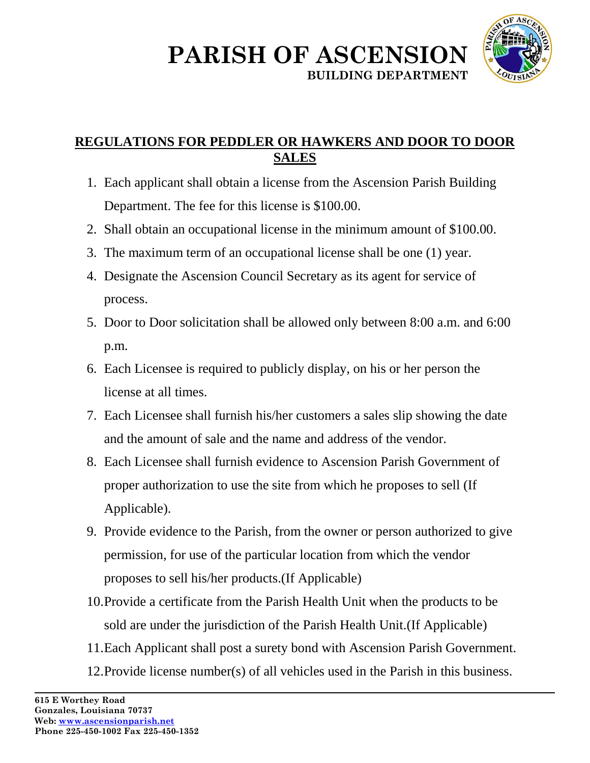



## **REGULATIONS FOR PEDDLER OR HAWKERS AND DOOR TO DOOR SALES**

- 1. Each applicant shall obtain a license from the Ascension Parish Building Department. The fee for this license is \$100.00.
- 2. Shall obtain an occupational license in the minimum amount of \$100.00.
- 3. The maximum term of an occupational license shall be one (1) year.
- 4. Designate the Ascension Council Secretary as its agent for service of process.
- 5. Door to Door solicitation shall be allowed only between 8:00 a.m. and 6:00 p.m.
- 6. Each Licensee is required to publicly display, on his or her person the license at all times.
- 7. Each Licensee shall furnish his/her customers a sales slip showing the date and the amount of sale and the name and address of the vendor.
- 8. Each Licensee shall furnish evidence to Ascension Parish Government of proper authorization to use the site from which he proposes to sell (If Applicable).
- 9. Provide evidence to the Parish, from the owner or person authorized to give permission, for use of the particular location from which the vendor proposes to sell his/her products.(If Applicable)
- 10.Provide a certificate from the Parish Health Unit when the products to be sold are under the jurisdiction of the Parish Health Unit.(If Applicable)
- 11.Each Applicant shall post a surety bond with Ascension Parish Government.
- 12.Provide license number(s) of all vehicles used in the Parish in this business.